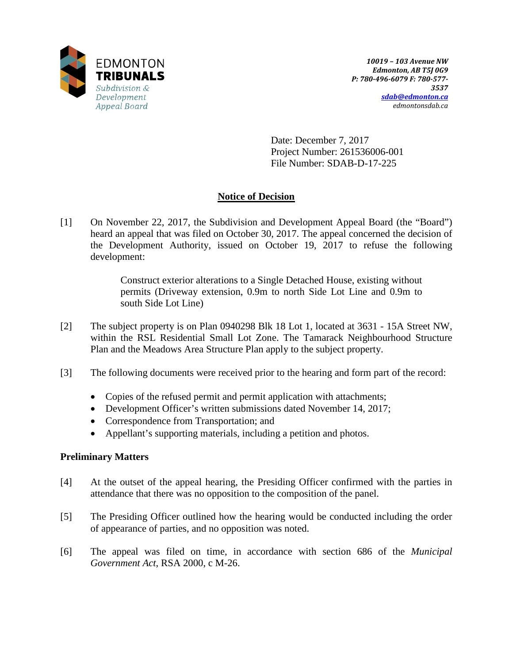

Date: December 7, 2017 Project Number: 261536006-001 File Number: SDAB-D-17-225

# **Notice of Decision**

[1] On November 22, 2017, the Subdivision and Development Appeal Board (the "Board") heard an appeal that was filed on October 30, 2017. The appeal concerned the decision of the Development Authority, issued on October 19, 2017 to refuse the following development:

> Construct exterior alterations to a Single Detached House, existing without permits (Driveway extension, 0.9m to north Side Lot Line and 0.9m to south Side Lot Line)

- [2] The subject property is on Plan 0940298 Blk 18 Lot 1, located at 3631 15A Street NW, within the RSL Residential Small Lot Zone. The Tamarack Neighbourhood Structure Plan and the Meadows Area Structure Plan apply to the subject property.
- [3] The following documents were received prior to the hearing and form part of the record:
	- Copies of the refused permit and permit application with attachments;
	- Development Officer's written submissions dated November 14, 2017;
	- Correspondence from Transportation; and
	- Appellant's supporting materials, including a petition and photos.

### **Preliminary Matters**

- [4] At the outset of the appeal hearing, the Presiding Officer confirmed with the parties in attendance that there was no opposition to the composition of the panel.
- [5] The Presiding Officer outlined how the hearing would be conducted including the order of appearance of parties, and no opposition was noted.
- [6] The appeal was filed on time, in accordance with section 686 of the *Municipal Government Act*, RSA 2000, c M-26.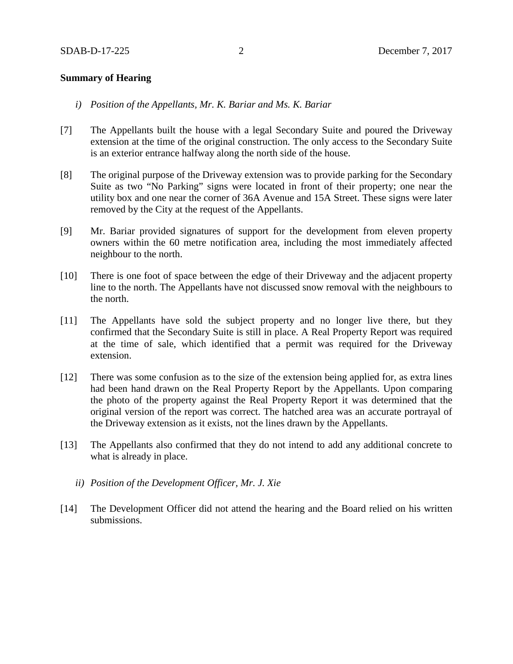### **Summary of Hearing**

- *i) Position of the Appellants, Mr. K. Bariar and Ms. K. Bariar*
- [7] The Appellants built the house with a legal Secondary Suite and poured the Driveway extension at the time of the original construction. The only access to the Secondary Suite is an exterior entrance halfway along the north side of the house.
- [8] The original purpose of the Driveway extension was to provide parking for the Secondary Suite as two "No Parking" signs were located in front of their property; one near the utility box and one near the corner of 36A Avenue and 15A Street. These signs were later removed by the City at the request of the Appellants.
- [9] Mr. Bariar provided signatures of support for the development from eleven property owners within the 60 metre notification area, including the most immediately affected neighbour to the north.
- [10] There is one foot of space between the edge of their Driveway and the adjacent property line to the north. The Appellants have not discussed snow removal with the neighbours to the north.
- [11] The Appellants have sold the subject property and no longer live there, but they confirmed that the Secondary Suite is still in place. A Real Property Report was required at the time of sale, which identified that a permit was required for the Driveway extension.
- [12] There was some confusion as to the size of the extension being applied for, as extra lines had been hand drawn on the Real Property Report by the Appellants. Upon comparing the photo of the property against the Real Property Report it was determined that the original version of the report was correct. The hatched area was an accurate portrayal of the Driveway extension as it exists, not the lines drawn by the Appellants.
- [13] The Appellants also confirmed that they do not intend to add any additional concrete to what is already in place.
	- *ii) Position of the Development Officer, Mr. J. Xie*
- [14] The Development Officer did not attend the hearing and the Board relied on his written submissions.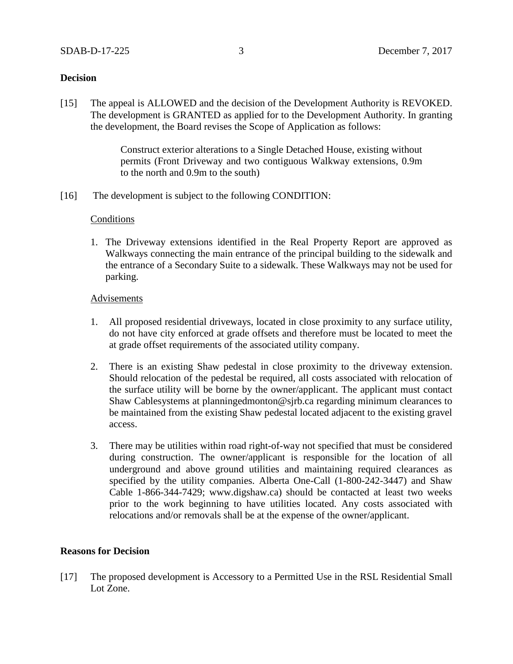### **Decision**

[15] The appeal is ALLOWED and the decision of the Development Authority is REVOKED. The development is GRANTED as applied for to the Development Authority. In granting the development, the Board revises the Scope of Application as follows:

> Construct exterior alterations to a Single Detached House, existing without permits (Front Driveway and two contiguous Walkway extensions, 0.9m to the north and 0.9m to the south)

[16] The development is subject to the following CONDITION:

### Conditions

1. The Driveway extensions identified in the Real Property Report are approved as Walkways connecting the main entrance of the principal building to the sidewalk and the entrance of a Secondary Suite to a sidewalk. These Walkways may not be used for parking.

### **Advisements**

- 1. All proposed residential driveways, located in close proximity to any surface utility, do not have city enforced at grade offsets and therefore must be located to meet the at grade offset requirements of the associated utility company.
- 2. There is an existing Shaw pedestal in close proximity to the driveway extension. Should relocation of the pedestal be required, all costs associated with relocation of the surface utility will be borne by the owner/applicant. The applicant must contact Shaw Cablesystems at planningedmonton@sjrb.ca regarding minimum clearances to be maintained from the existing Shaw pedestal located adjacent to the existing gravel access.
- 3. There may be utilities within road right-of-way not specified that must be considered during construction. The owner/applicant is responsible for the location of all underground and above ground utilities and maintaining required clearances as specified by the utility companies. Alberta One-Call (1-800-242-3447) and Shaw Cable 1-866-344-7429; www.digshaw.ca) should be contacted at least two weeks prior to the work beginning to have utilities located. Any costs associated with relocations and/or removals shall be at the expense of the owner/applicant.

### **Reasons for Decision**

[17] The proposed development is Accessory to a Permitted Use in the RSL Residential Small Lot Zone.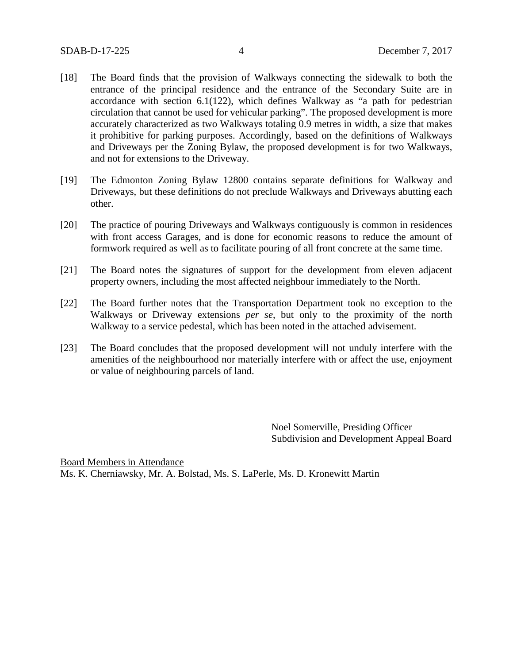- [18] The Board finds that the provision of Walkways connecting the sidewalk to both the entrance of the principal residence and the entrance of the Secondary Suite are in accordance with section 6.1(122), which defines Walkway as "a path for pedestrian circulation that cannot be used for vehicular parking". The proposed development is more accurately characterized as two Walkways totaling 0.9 metres in width, a size that makes it prohibitive for parking purposes. Accordingly, based on the definitions of Walkways and Driveways per the Zoning Bylaw, the proposed development is for two Walkways, and not for extensions to the Driveway.
- [19] The Edmonton Zoning Bylaw 12800 contains separate definitions for Walkway and Driveways, but these definitions do not preclude Walkways and Driveways abutting each other.
- [20] The practice of pouring Driveways and Walkways contiguously is common in residences with front access Garages, and is done for economic reasons to reduce the amount of formwork required as well as to facilitate pouring of all front concrete at the same time.
- [21] The Board notes the signatures of support for the development from eleven adjacent property owners, including the most affected neighbour immediately to the North.
- [22] The Board further notes that the Transportation Department took no exception to the Walkways or Driveway extensions *per se*, but only to the proximity of the north Walkway to a service pedestal, which has been noted in the attached advisement.
- [23] The Board concludes that the proposed development will not unduly interfere with the amenities of the neighbourhood nor materially interfere with or affect the use, enjoyment or value of neighbouring parcels of land.

Noel Somerville, Presiding Officer Subdivision and Development Appeal Board

Board Members in Attendance Ms. K. Cherniawsky, Mr. A. Bolstad, Ms. S. LaPerle, Ms. D. Kronewitt Martin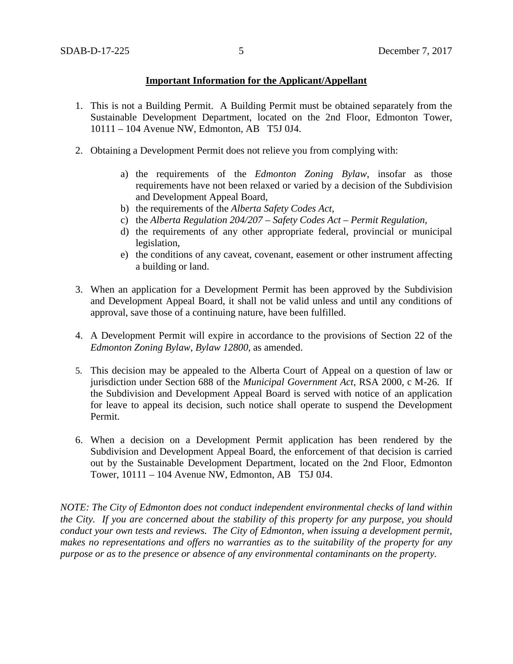### **Important Information for the Applicant/Appellant**

- 1. This is not a Building Permit. A Building Permit must be obtained separately from the Sustainable Development Department, located on the 2nd Floor, Edmonton Tower, 10111 – 104 Avenue NW, Edmonton, AB T5J 0J4.
- 2. Obtaining a Development Permit does not relieve you from complying with:
	- a) the requirements of the *Edmonton Zoning Bylaw*, insofar as those requirements have not been relaxed or varied by a decision of the Subdivision and Development Appeal Board,
	- b) the requirements of the *Alberta Safety Codes Act*,
	- c) the *Alberta Regulation 204/207 – Safety Codes Act – Permit Regulation*,
	- d) the requirements of any other appropriate federal, provincial or municipal legislation,
	- e) the conditions of any caveat, covenant, easement or other instrument affecting a building or land.
- 3. When an application for a Development Permit has been approved by the Subdivision and Development Appeal Board, it shall not be valid unless and until any conditions of approval, save those of a continuing nature, have been fulfilled.
- 4. A Development Permit will expire in accordance to the provisions of Section 22 of the *Edmonton Zoning Bylaw, Bylaw 12800*, as amended.
- 5. This decision may be appealed to the Alberta Court of Appeal on a question of law or jurisdiction under Section 688 of the *Municipal Government Act*, RSA 2000, c M-26. If the Subdivision and Development Appeal Board is served with notice of an application for leave to appeal its decision, such notice shall operate to suspend the Development Permit.
- 6. When a decision on a Development Permit application has been rendered by the Subdivision and Development Appeal Board, the enforcement of that decision is carried out by the Sustainable Development Department, located on the 2nd Floor, Edmonton Tower, 10111 – 104 Avenue NW, Edmonton, AB T5J 0J4.

*NOTE: The City of Edmonton does not conduct independent environmental checks of land within the City. If you are concerned about the stability of this property for any purpose, you should conduct your own tests and reviews. The City of Edmonton, when issuing a development permit, makes no representations and offers no warranties as to the suitability of the property for any purpose or as to the presence or absence of any environmental contaminants on the property.*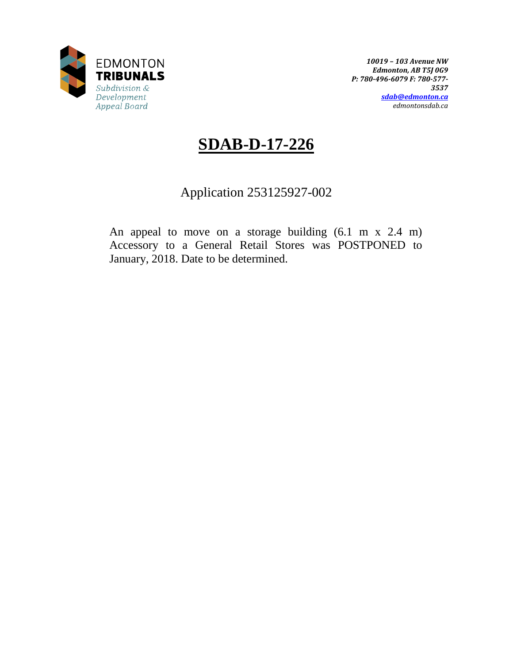

*10019 – 103 Avenue NW Edmonton, AB T5J 0G9 P: 780-496-6079 F: 780-577- 3537 [sdab@edmonton.ca](mailto:sdab@edmonton.ca) edmontonsdab.ca*

# **SDAB-D-17-226**

# Application 253125927-002

An appeal to move on a storage building (6.1 m x 2.4 m) Accessory to a General Retail Stores was POSTPONED to January, 2018. Date to be determined.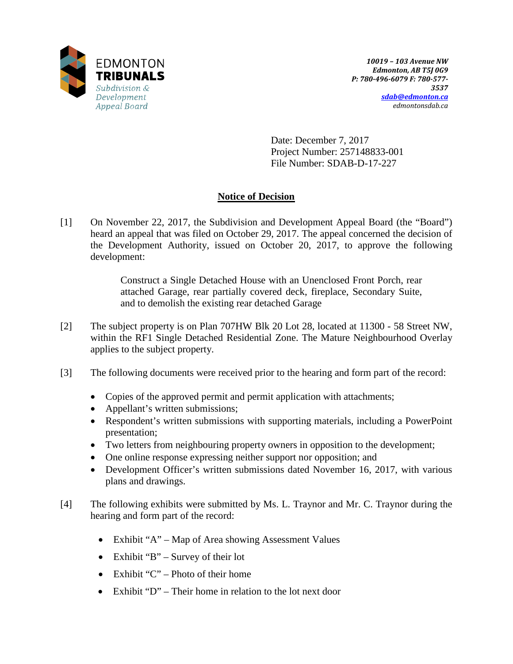

Date: December 7, 2017 Project Number: 257148833-001 File Number: SDAB-D-17-227

# **Notice of Decision**

[1] On November 22, 2017, the Subdivision and Development Appeal Board (the "Board") heard an appeal that was filed on October 29, 2017. The appeal concerned the decision of the Development Authority, issued on October 20, 2017, to approve the following development:

> Construct a Single Detached House with an Unenclosed Front Porch, rear attached Garage, rear partially covered deck, fireplace, Secondary Suite, and to demolish the existing rear detached Garage

- [2] The subject property is on Plan 707HW Blk 20 Lot 28, located at 11300 58 Street NW, within the RF1 Single Detached Residential Zone. The Mature Neighbourhood Overlay applies to the subject property.
- [3] The following documents were received prior to the hearing and form part of the record:
	- Copies of the approved permit and permit application with attachments;
	- Appellant's written submissions;
	- Respondent's written submissions with supporting materials, including a PowerPoint presentation;
	- Two letters from neighbouring property owners in opposition to the development;
	- One online response expressing neither support nor opposition; and
	- Development Officer's written submissions dated November 16, 2017, with various plans and drawings.
- [4] The following exhibits were submitted by Ms. L. Traynor and Mr. C. Traynor during the hearing and form part of the record:
	- Exhibit "A" Map of Area showing Assessment Values
	- Exhibit "B" Survey of their lot
	- Exhibit " $C$ " Photo of their home
	- Exhibit "D" Their home in relation to the lot next door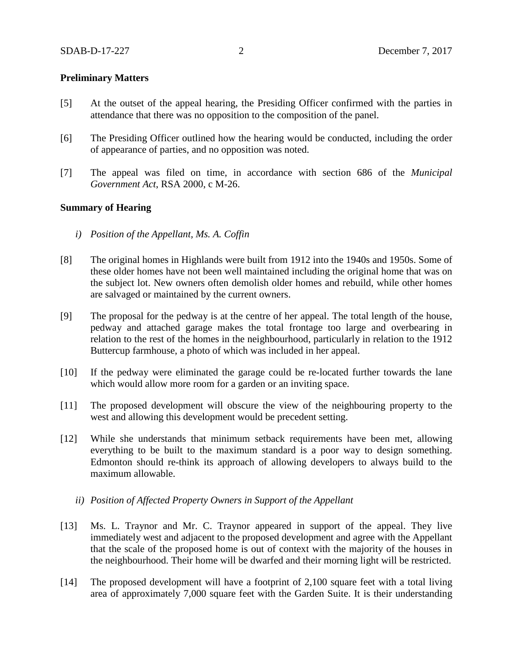### **Preliminary Matters**

- [5] At the outset of the appeal hearing, the Presiding Officer confirmed with the parties in attendance that there was no opposition to the composition of the panel.
- [6] The Presiding Officer outlined how the hearing would be conducted, including the order of appearance of parties, and no opposition was noted.
- [7] The appeal was filed on time, in accordance with section 686 of the *Municipal Government Act*, RSA 2000, c M-26.

### **Summary of Hearing**

- *i) Position of the Appellant, Ms. A. Coffin*
- [8] The original homes in Highlands were built from 1912 into the 1940s and 1950s. Some of these older homes have not been well maintained including the original home that was on the subject lot. New owners often demolish older homes and rebuild, while other homes are salvaged or maintained by the current owners.
- [9] The proposal for the pedway is at the centre of her appeal. The total length of the house, pedway and attached garage makes the total frontage too large and overbearing in relation to the rest of the homes in the neighbourhood, particularly in relation to the 1912 Buttercup farmhouse, a photo of which was included in her appeal.
- [10] If the pedway were eliminated the garage could be re-located further towards the lane which would allow more room for a garden or an inviting space.
- [11] The proposed development will obscure the view of the neighbouring property to the west and allowing this development would be precedent setting.
- [12] While she understands that minimum setback requirements have been met, allowing everything to be built to the maximum standard is a poor way to design something. Edmonton should re-think its approach of allowing developers to always build to the maximum allowable.
	- *ii) Position of Affected Property Owners in Support of the Appellant*
- [13] Ms. L. Traynor and Mr. C. Traynor appeared in support of the appeal. They live immediately west and adjacent to the proposed development and agree with the Appellant that the scale of the proposed home is out of context with the majority of the houses in the neighbourhood. Their home will be dwarfed and their morning light will be restricted.
- [14] The proposed development will have a footprint of 2,100 square feet with a total living area of approximately 7,000 square feet with the Garden Suite. It is their understanding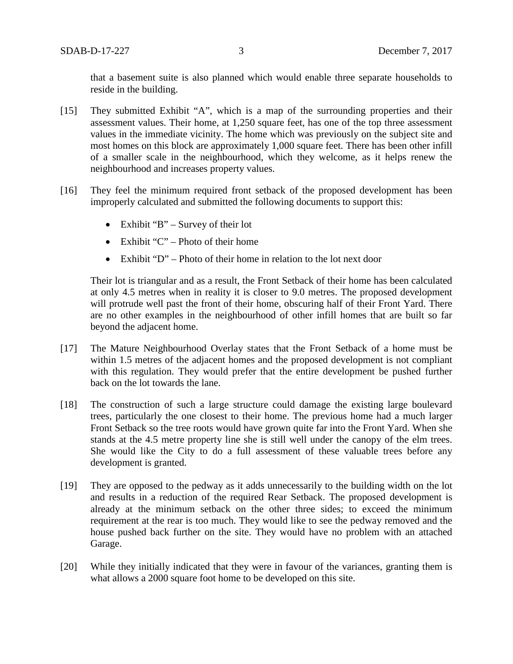that a basement suite is also planned which would enable three separate households to reside in the building.

- [15] They submitted Exhibit "A", which is a map of the surrounding properties and their assessment values. Their home, at 1,250 square feet, has one of the top three assessment values in the immediate vicinity. The home which was previously on the subject site and most homes on this block are approximately 1,000 square feet. There has been other infill of a smaller scale in the neighbourhood, which they welcome, as it helps renew the neighbourhood and increases property values.
- [16] They feel the minimum required front setback of the proposed development has been improperly calculated and submitted the following documents to support this:
	- Exhibit "B" Survey of their lot
	- Exhibit " $C$ " Photo of their home
	- Exhibit "D" Photo of their home in relation to the lot next door

Their lot is triangular and as a result, the Front Setback of their home has been calculated at only 4.5 metres when in reality it is closer to 9.0 metres. The proposed development will protrude well past the front of their home, obscuring half of their Front Yard. There are no other examples in the neighbourhood of other infill homes that are built so far beyond the adjacent home.

- [17] The Mature Neighbourhood Overlay states that the Front Setback of a home must be within 1.5 metres of the adjacent homes and the proposed development is not compliant with this regulation. They would prefer that the entire development be pushed further back on the lot towards the lane.
- [18] The construction of such a large structure could damage the existing large boulevard trees, particularly the one closest to their home. The previous home had a much larger Front Setback so the tree roots would have grown quite far into the Front Yard. When she stands at the 4.5 metre property line she is still well under the canopy of the elm trees. She would like the City to do a full assessment of these valuable trees before any development is granted.
- [19] They are opposed to the pedway as it adds unnecessarily to the building width on the lot and results in a reduction of the required Rear Setback. The proposed development is already at the minimum setback on the other three sides; to exceed the minimum requirement at the rear is too much. They would like to see the pedway removed and the house pushed back further on the site. They would have no problem with an attached Garage.
- [20] While they initially indicated that they were in favour of the variances, granting them is what allows a 2000 square foot home to be developed on this site.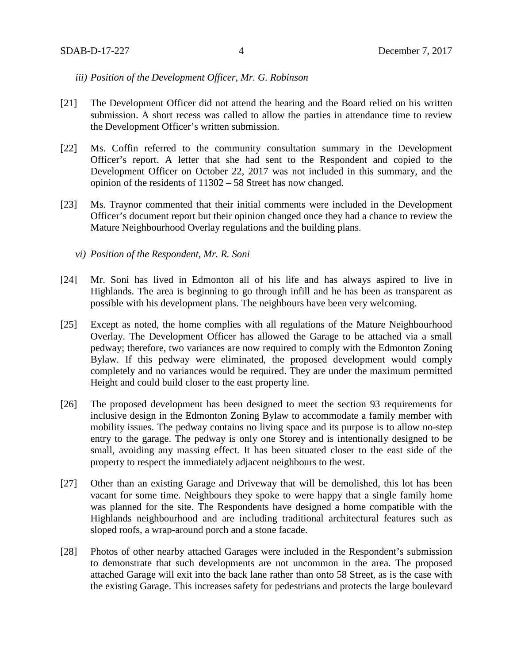### *iii) Position of the Development Officer, Mr. G. Robinson*

- [21] The Development Officer did not attend the hearing and the Board relied on his written submission. A short recess was called to allow the parties in attendance time to review the Development Officer's written submission.
- [22] Ms. Coffin referred to the community consultation summary in the Development Officer's report. A letter that she had sent to the Respondent and copied to the Development Officer on October 22, 2017 was not included in this summary, and the opinion of the residents of 11302 – 58 Street has now changed.
- [23] Ms. Traynor commented that their initial comments were included in the Development Officer's document report but their opinion changed once they had a chance to review the Mature Neighbourhood Overlay regulations and the building plans.
	- *vi) Position of the Respondent, Mr. R. Soni*
- [24] Mr. Soni has lived in Edmonton all of his life and has always aspired to live in Highlands. The area is beginning to go through infill and he has been as transparent as possible with his development plans. The neighbours have been very welcoming.
- [25] Except as noted, the home complies with all regulations of the Mature Neighbourhood Overlay. The Development Officer has allowed the Garage to be attached via a small pedway; therefore, two variances are now required to comply with the Edmonton Zoning Bylaw. If this pedway were eliminated, the proposed development would comply completely and no variances would be required. They are under the maximum permitted Height and could build closer to the east property line.
- [26] The proposed development has been designed to meet the section 93 requirements for inclusive design in the Edmonton Zoning Bylaw to accommodate a family member with mobility issues. The pedway contains no living space and its purpose is to allow no-step entry to the garage. The pedway is only one Storey and is intentionally designed to be small, avoiding any massing effect. It has been situated closer to the east side of the property to respect the immediately adjacent neighbours to the west.
- [27] Other than an existing Garage and Driveway that will be demolished, this lot has been vacant for some time. Neighbours they spoke to were happy that a single family home was planned for the site. The Respondents have designed a home compatible with the Highlands neighbourhood and are including traditional architectural features such as sloped roofs, a wrap-around porch and a stone facade.
- [28] Photos of other nearby attached Garages were included in the Respondent's submission to demonstrate that such developments are not uncommon in the area. The proposed attached Garage will exit into the back lane rather than onto 58 Street, as is the case with the existing Garage. This increases safety for pedestrians and protects the large boulevard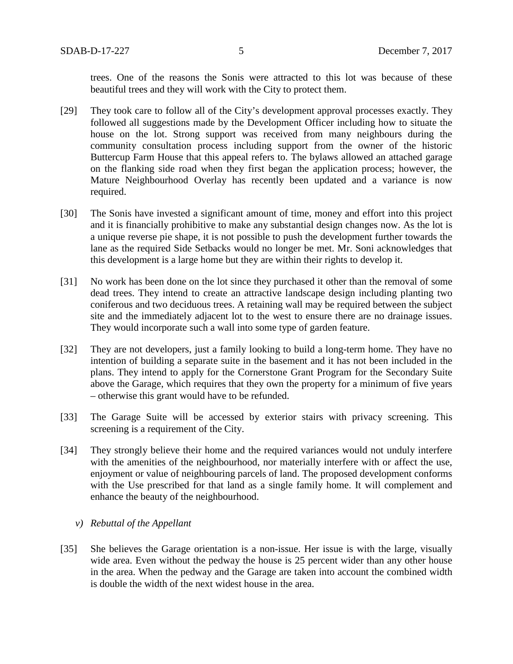trees. One of the reasons the Sonis were attracted to this lot was because of these beautiful trees and they will work with the City to protect them.

- [29] They took care to follow all of the City's development approval processes exactly. They followed all suggestions made by the Development Officer including how to situate the house on the lot. Strong support was received from many neighbours during the community consultation process including support from the owner of the historic Buttercup Farm House that this appeal refers to. The bylaws allowed an attached garage on the flanking side road when they first began the application process; however, the Mature Neighbourhood Overlay has recently been updated and a variance is now required.
- [30] The Sonis have invested a significant amount of time, money and effort into this project and it is financially prohibitive to make any substantial design changes now. As the lot is a unique reverse pie shape, it is not possible to push the development further towards the lane as the required Side Setbacks would no longer be met. Mr. Soni acknowledges that this development is a large home but they are within their rights to develop it.
- [31] No work has been done on the lot since they purchased it other than the removal of some dead trees. They intend to create an attractive landscape design including planting two coniferous and two deciduous trees. A retaining wall may be required between the subject site and the immediately adjacent lot to the west to ensure there are no drainage issues. They would incorporate such a wall into some type of garden feature.
- [32] They are not developers, just a family looking to build a long-term home. They have no intention of building a separate suite in the basement and it has not been included in the plans. They intend to apply for the Cornerstone Grant Program for the Secondary Suite above the Garage, which requires that they own the property for a minimum of five years – otherwise this grant would have to be refunded.
- [33] The Garage Suite will be accessed by exterior stairs with privacy screening. This screening is a requirement of the City.
- [34] They strongly believe their home and the required variances would not unduly interfere with the amenities of the neighbourhood, nor materially interfere with or affect the use, enjoyment or value of neighbouring parcels of land. The proposed development conforms with the Use prescribed for that land as a single family home. It will complement and enhance the beauty of the neighbourhood.

### *v) Rebuttal of the Appellant*

[35] She believes the Garage orientation is a non-issue. Her issue is with the large, visually wide area. Even without the pedway the house is 25 percent wider than any other house in the area. When the pedway and the Garage are taken into account the combined width is double the width of the next widest house in the area.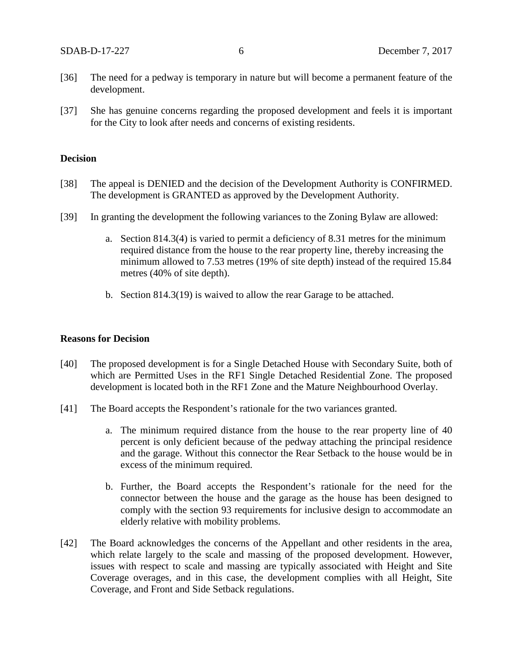- [36] The need for a pedway is temporary in nature but will become a permanent feature of the development.
- [37] She has genuine concerns regarding the proposed development and feels it is important for the City to look after needs and concerns of existing residents.

### **Decision**

- [38] The appeal is DENIED and the decision of the Development Authority is CONFIRMED. The development is GRANTED as approved by the Development Authority.
- [39] In granting the development the following variances to the Zoning Bylaw are allowed:
	- a. Section 814.3(4) is varied to permit a deficiency of 8.31 metres for the minimum required distance from the house to the rear property line, thereby increasing the minimum allowed to 7.53 metres (19% of site depth) instead of the required 15.84 metres (40% of site depth).
	- b. Section 814.3(19) is waived to allow the rear Garage to be attached.

#### **Reasons for Decision**

- [40] The proposed development is for a Single Detached House with Secondary Suite, both of which are Permitted Uses in the RF1 Single Detached Residential Zone. The proposed development is located both in the RF1 Zone and the Mature Neighbourhood Overlay.
- [41] The Board accepts the Respondent's rationale for the two variances granted.
	- a. The minimum required distance from the house to the rear property line of 40 percent is only deficient because of the pedway attaching the principal residence and the garage. Without this connector the Rear Setback to the house would be in excess of the minimum required.
	- b. Further, the Board accepts the Respondent's rationale for the need for the connector between the house and the garage as the house has been designed to comply with the section 93 requirements for inclusive design to accommodate an elderly relative with mobility problems.
- [42] The Board acknowledges the concerns of the Appellant and other residents in the area, which relate largely to the scale and massing of the proposed development. However, issues with respect to scale and massing are typically associated with Height and Site Coverage overages, and in this case, the development complies with all Height, Site Coverage, and Front and Side Setback regulations.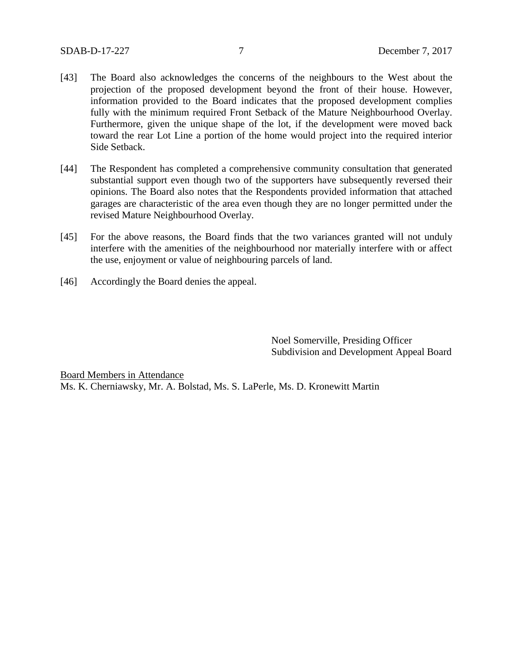- [43] The Board also acknowledges the concerns of the neighbours to the West about the projection of the proposed development beyond the front of their house. However, information provided to the Board indicates that the proposed development complies fully with the minimum required Front Setback of the Mature Neighbourhood Overlay. Furthermore, given the unique shape of the lot, if the development were moved back toward the rear Lot Line a portion of the home would project into the required interior Side Setback.
- [44] The Respondent has completed a comprehensive community consultation that generated substantial support even though two of the supporters have subsequently reversed their opinions. The Board also notes that the Respondents provided information that attached garages are characteristic of the area even though they are no longer permitted under the revised Mature Neighbourhood Overlay.
- [45] For the above reasons, the Board finds that the two variances granted will not unduly interfere with the amenities of the neighbourhood nor materially interfere with or affect the use, enjoyment or value of neighbouring parcels of land.
- [46] Accordingly the Board denies the appeal.

Noel Somerville, Presiding Officer Subdivision and Development Appeal Board

Board Members in Attendance Ms. K. Cherniawsky, Mr. A. Bolstad, Ms. S. LaPerle, Ms. D. Kronewitt Martin